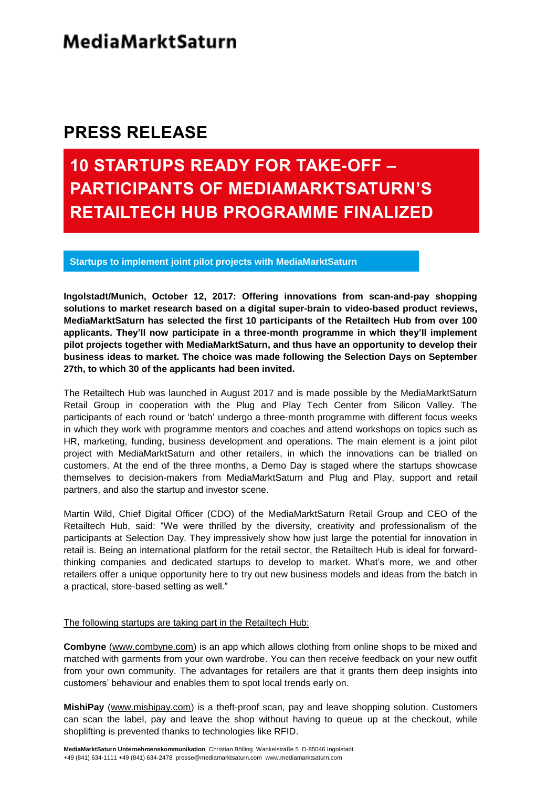### **PRESS RELEASE**

# **10 STARTUPS READY FOR TAKE-OFF – PARTICIPANTS OF MEDIAMARKTSATURN'S RETAILTECH HUB PROGRAMME FINALIZED**

**Startups to implement joint pilot projects with MediaMarktSaturn**

**Ingolstadt/Munich, October 12, 2017: Offering innovations from scan-and-pay shopping solutions to market research based on a digital super-brain to video-based product reviews, MediaMarktSaturn has selected the first 10 participants of the Retailtech Hub from over 100 applicants. They'll now participate in a three-month programme in which they'll implement pilot projects together with MediaMarktSaturn, and thus have an opportunity to develop their business ideas to market. The choice was made following the Selection Days on September 27th, to which 30 of the applicants had been invited.**

The Retailtech Hub was launched in August 2017 and is made possible by the MediaMarktSaturn Retail Group in cooperation with the Plug and Play Tech Center from Silicon Valley. The participants of each round or 'batch' undergo a three-month programme with different focus weeks in which they work with programme mentors and coaches and attend workshops on topics such as HR, marketing, funding, business development and operations. The main element is a joint pilot project with MediaMarktSaturn and other retailers, in which the innovations can be trialled on customers. At the end of the three months, a Demo Day is staged where the startups showcase themselves to decision-makers from MediaMarktSaturn and Plug and Play, support and retail partners, and also the startup and investor scene.

Martin Wild, Chief Digital Officer (CDO) of the MediaMarktSaturn Retail Group and CEO of the Retailtech Hub, said: "We were thrilled by the diversity, creativity and professionalism of the participants at Selection Day. They impressively show how just large the potential for innovation in retail is. Being an international platform for the retail sector, the Retailtech Hub is ideal for forwardthinking companies and dedicated startups to develop to market. What's more, we and other retailers offer a unique opportunity here to try out new business models and ideas from the batch in a practical, store-based setting as well."

The following startups are taking part in the Retailtech Hub:

**Combyne** [\(www.combyne.com\)](http://www.combyne.com/) is an app which allows clothing from online shops to be mixed and matched with garments from your own wardrobe. You can then receive feedback on your new outfit from your own community. The advantages for retailers are that it grants them deep insights into customers' behaviour and enables them to spot local trends early on.

**MishiPay** [\(www.mishipay.com\)](http://www.mishipay.com/) is a theft-proof scan, pay and leave shopping solution. Customers can scan the label, pay and leave the shop without having to queue up at the checkout, while shoplifting is prevented thanks to technologies like RFID.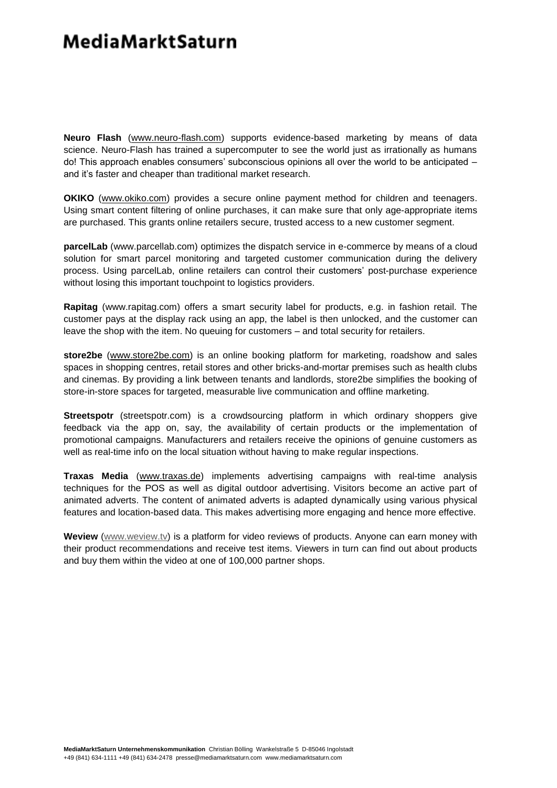### **Media Markt Saturn**

**Neuro Flash** [\(www.neuro-flash.com\)](http://www.neuro-flash.com/) supports evidence-based marketing by means of data science. Neuro-Flash has trained a supercomputer to see the world just as irrationally as humans do! This approach enables consumers' subconscious opinions all over the world to be anticipated – and it's faster and cheaper than traditional market research.

**OKIKO** [\(www.okiko.com\)](http://www.okiko.com/) provides a secure online payment method for children and teenagers. Using smart content filtering of online purchases, it can make sure that only age-appropriate items are purchased. This grants online retailers secure, trusted access to a new customer segment.

**parcelLab** (www.parcellab.com) optimizes the dispatch service in e-commerce by means of a cloud solution for smart parcel monitoring and targeted customer communication during the delivery process. Using parcelLab, online retailers can control their customers' post-purchase experience without losing this important touchpoint to logistics providers.

**Rapitag** (www.rapitag.com) offers a smart security label for products, e.g. in fashion retail. The customer pays at the display rack using an app, the label is then unlocked, and the customer can leave the shop with the item. No queuing for customers – and total security for retailers.

**store2be** [\(www.store2be.com\)](http://www.store2be.com/) is an online booking platform for marketing, roadshow and sales spaces in shopping centres, retail stores and other bricks-and-mortar premises such as health clubs and cinemas. By providing a link between tenants and landlords, store2be simplifies the booking of store-in-store spaces for targeted, measurable live communication and offline marketing.

**Streetspotr** (streetspotr.com) is a crowdsourcing platform in which ordinary shoppers give feedback via the app on, say, the availability of certain products or the implementation of promotional campaigns. Manufacturers and retailers receive the opinions of genuine customers as well as real-time info on the local situation without having to make regular inspections.

**Traxas Media** [\(www.traxas.de\)](http://www.traxas.de/) implements advertising campaigns with real-time analysis techniques for the POS as well as digital outdoor advertising. Visitors become an active part of animated adverts. The content of animated adverts is adapted dynamically using various physical features and location-based data. This makes advertising more engaging and hence more effective.

**Weview** [\(www.weview.tv\)](http://www.weview.tv/) is a platform for video reviews of products. Anyone can earn money with their product recommendations and receive test items. Viewers in turn can find out about products and buy them within the video at one of 100,000 partner shops.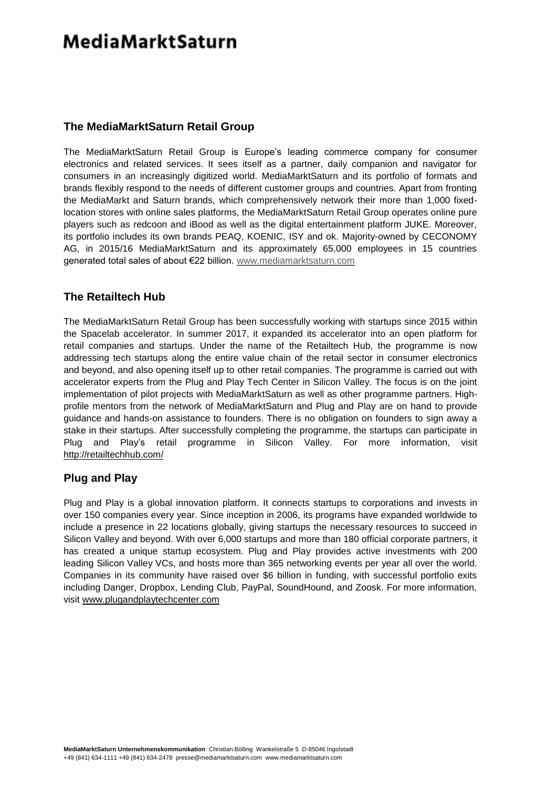## **MediaMarktSaturn**

#### **The MediaMarktSaturn Retail Group**

The MediaMarktSaturn Retail Group is Europe's leading commerce company for consumer electronics and related services. It sees itself as a partner, daily companion and navigator for consumers in an increasingly digitized world. MediaMarktSaturn and its portfolio of formats and brands flexibly respond to the needs of different customer groups and countries. Apart from fronting the MediaMarkt and Saturn brands, which comprehensively network their more than 1,000 fixedlocation stores with online sales platforms, the MediaMarktSaturn Retail Group operates online pure players such as redcoon and iBood as well as the digital entertainment platform JUKE. Moreover, its portfolio includes its own brands PEAQ, KOENIC, ISY and ok. Majority-owned by CECONOMY AG, in 2015/16 MediaMarktSaturn and its approximately 65,000 employees in 15 countries generated total sales of about €22 billion. [www.mediamarktsaturn.com](http://www.mediamarktsaturn.com/)

#### **The Retailtech Hub**

The MediaMarktSaturn Retail Group has been successfully working with startups since 2015 within the Spacelab accelerator. In summer 2017, it expanded its accelerator into an open platform for retail companies and startups. Under the name of the Retailtech Hub, the programme is now addressing tech startups along the entire value chain of the retail sector in consumer electronics and beyond, and also opening itself up to other retail companies. The programme is carried out with accelerator experts from the Plug and Play Tech Center in Silicon Valley. The focus is on the joint implementation of pilot projects with MediaMarktSaturn as well as other programme partners. Highprofile mentors from the network of MediaMarktSaturn and Plug and Play are on hand to provide guidance and hands-on assistance to founders. There is no obligation on founders to sign away a stake in their startups. After successfully completing the programme, the startups can participate in Plug and Play's retail programme in Silicon Valley. For more information, visit <http://retailtechhub.com/>

#### **Plug and Play**

Plug and Play is a global innovation platform. It connects startups to corporations and invests in over 150 companies every year. Since inception in 2006, its programs have expanded worldwide to include a presence in 22 locations globally, giving startups the necessary resources to succeed in Silicon Valley and beyond. With over 6,000 startups and more than 180 official corporate partners, it has created a unique startup ecosystem. Plug and Play provides active investments with 200 leading Silicon Valley VCs, and hosts more than 365 networking events per year all over the world. Companies in its community have raised over \$6 billion in funding, with successful portfolio exits including Danger, Dropbox, Lending Club, PayPal, SoundHound, and Zoosk. For more information, visit [www.plugandplaytechcenter.com](http://www.plugandplaytechcenter.com/)